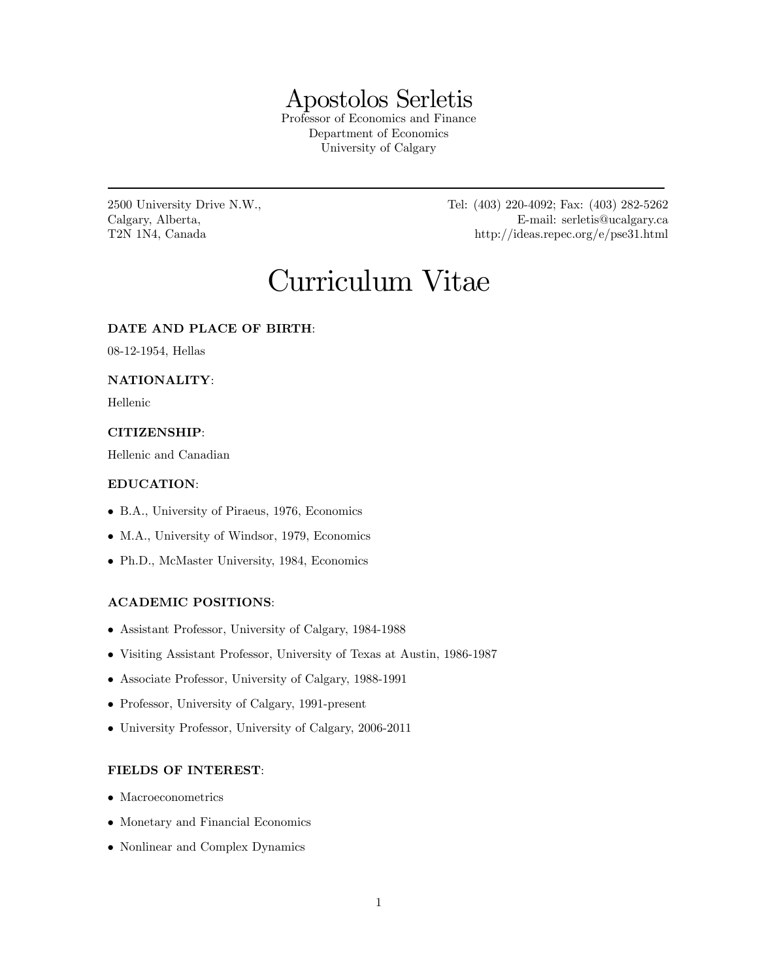## Apostolos Serletis

Professor of Economics and Finance Department of Economics University of Calgary

2500 University Drive N.W., Tel: (403) 220-4092; Fax: (403) 282-5262 Calgary, Alberta, E-mail: serletis@ucalgary.ca T2N 1N4, Canada http://ideas.repec.org/e/pse31.html

# Curriculum Vitae

#### DATE AND PLACE OF BIRTH:

08-12-1954, Hellas

#### NATIONALITY:

Hellenic

#### CITIZENSHIP:

Hellenic and Canadian

#### EDUCATION:

- B.A., University of Piraeus, 1976, Economics
- M.A., University of Windsor, 1979, Economics
- Ph.D., McMaster University, 1984, Economics

#### ACADEMIC POSITIONS:

- Assistant Professor, University of Calgary, 1984-1988
- Visiting Assistant Professor, University of Texas at Austin, 1986-1987
- Associate Professor, University of Calgary, 1988-1991
- Professor, University of Calgary, 1991-present
- University Professor, University of Calgary, 2006-2011

#### FIELDS OF INTEREST:

- Macroeconometrics
- Monetary and Financial Economics
- Nonlinear and Complex Dynamics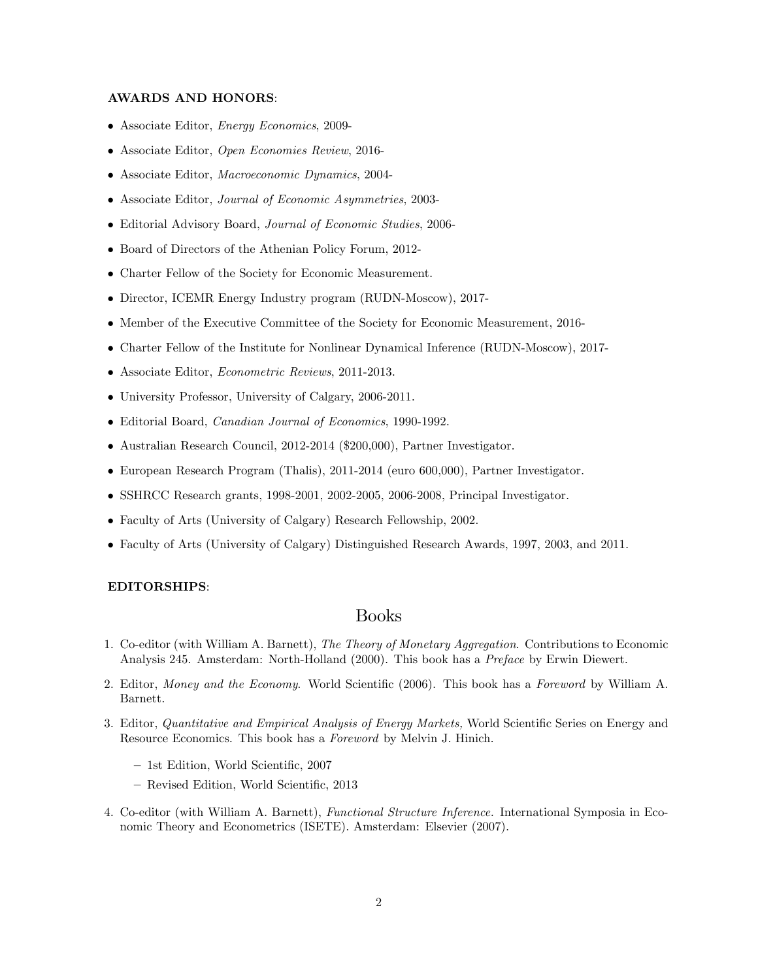#### AWARDS AND HONORS:

- Associate Editor, Energy Economics, 2009-
- Associate Editor, Open Economies Review, 2016-
- Associate Editor, Macroeconomic Dynamics, 2004-
- Associate Editor, Journal of Economic Asymmetries, 2003-
- Editorial Advisory Board, Journal of Economic Studies, 2006-
- Board of Directors of the Athenian Policy Forum, 2012-
- Charter Fellow of the Society for Economic Measurement.
- Director, ICEMR Energy Industry program (RUDN-Moscow), 2017-
- Member of the Executive Committee of the Society for Economic Measurement, 2016-
- Charter Fellow of the Institute for Nonlinear Dynamical Inference (RUDN-Moscow), 2017-
- Associate Editor, Econometric Reviews, 2011-2013.
- University Professor, University of Calgary, 2006-2011.
- Editorial Board, Canadian Journal of Economics, 1990-1992.
- Australian Research Council, 2012-2014 (\$200,000), Partner Investigator.
- European Research Program (Thalis), 2011-2014 (euro 600,000), Partner Investigator.
- SSHRCC Research grants, 1998-2001, 2002-2005, 2006-2008, Principal Investigator.
- Faculty of Arts (University of Calgary) Research Fellowship, 2002.
- Faculty of Arts (University of Calgary) Distinguished Research Awards, 1997, 2003, and 2011.

#### EDITORSHIPS:

## Books

- 1. Co-editor (with William A. Barnett), The Theory of Monetary Aggregation. Contributions to Economic Analysis 245. Amsterdam: North-Holland (2000). This book has a Preface by Erwin Diewert.
- 2. Editor, Money and the Economy. World Scientific (2006). This book has a Foreword by William A. Barnett.
- 3. Editor, Quantitative and Empirical Analysis of Energy Markets, World Scientific Series on Energy and Resource Economics. This book has a Foreword by Melvin J. Hinich.
	- 1st Edition, World Scientific, 2007
	- Revised Edition, World Scientific, 2013
- 4. Co-editor (with William A. Barnett), Functional Structure Inference. International Symposia in Economic Theory and Econometrics (ISETE). Amsterdam: Elsevier (2007).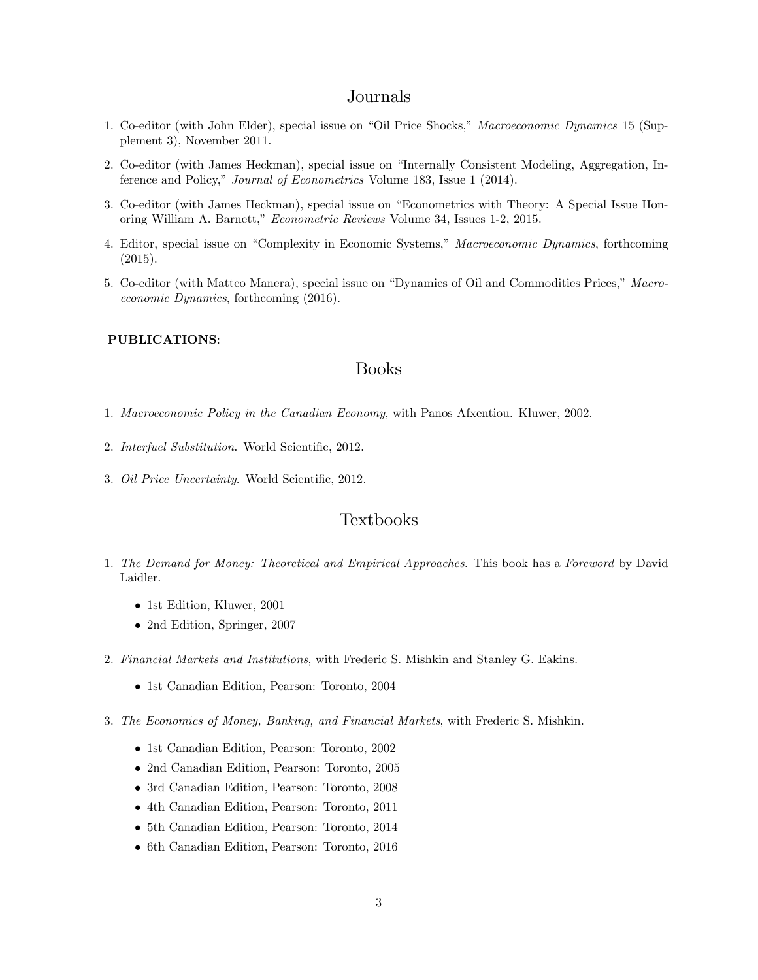## Journals

- 1. Co-editor (with John Elder), special issue on "Oil Price Shocks," Macroeconomic Dynamics 15 (Supplement 3), November 2011.
- 2. Co-editor (with James Heckman), special issue on "Internally Consistent Modeling, Aggregation, Inference and Policy," *Journal of Econometrics* Volume 183, Issue 1 (2014).
- 3. Co-editor (with James Heckman), special issue on "Econometrics with Theory: A Special Issue Honoring William A. Barnett," *Econometric Reviews* Volume 34, Issues 1-2, 2015.
- 4. Editor, special issue on "Complexity in Economic Systems," Macroeconomic Dynamics, forthcoming (2015).
- 5. Co-editor (with Matteo Manera), special issue on "Dynamics of Oil and Commodities Prices," Macroeconomic Dynamics, forthcoming (2016).

#### PUBLICATIONS:

## Books

- 1. Macroeconomic Policy in the Canadian Economy, with Panos Afxentiou. Kluwer, 2002.
- 2. Interfuel Substitution. World Scientific, 2012.
- 3. Oil Price Uncertainty. World Scientific, 2012.

## Textbooks

- 1. The Demand for Money: Theoretical and Empirical Approaches. This book has a Foreword by David Laidler.
	- 1st Edition, Kluwer, 2001
	- 2nd Edition, Springer, 2007
- 2. Financial Markets and Institutions, with Frederic S. Mishkin and Stanley G. Eakins.
	- 1st Canadian Edition, Pearson: Toronto, 2004
- 3. The Economics of Money, Banking, and Financial Markets, with Frederic S. Mishkin.
	- 1st Canadian Edition, Pearson: Toronto, 2002
	- 2nd Canadian Edition, Pearson: Toronto, 2005
	- 3rd Canadian Edition, Pearson: Toronto, 2008
	- 4th Canadian Edition, Pearson: Toronto, 2011
	- 5th Canadian Edition, Pearson: Toronto, 2014
	- 6th Canadian Edition, Pearson: Toronto, 2016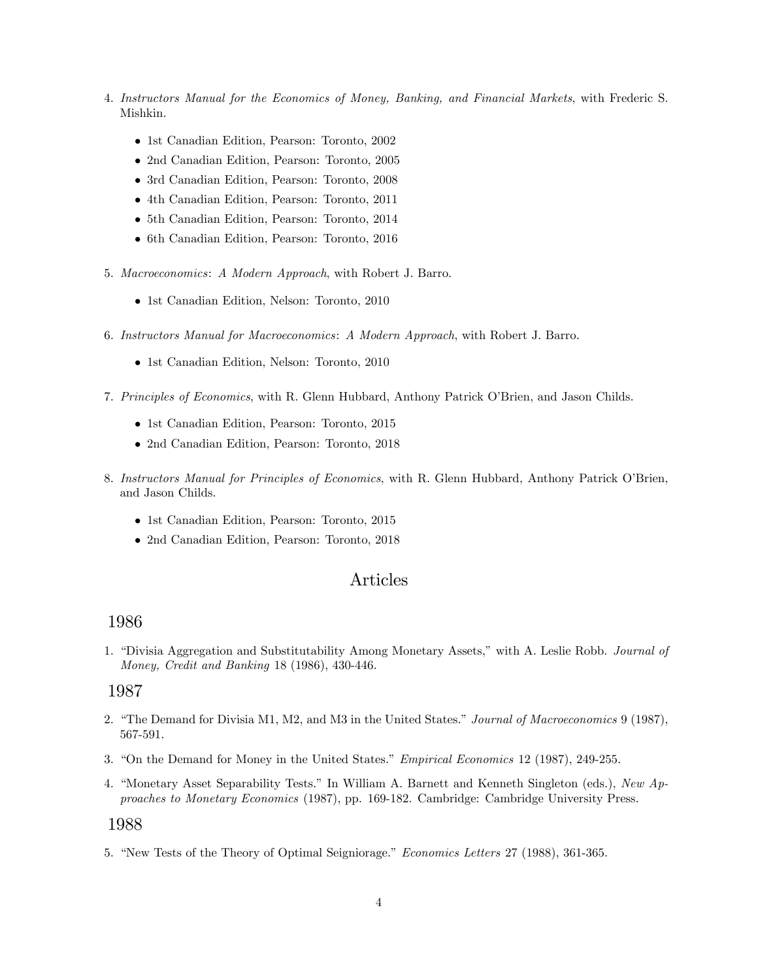- 4. Instructors Manual for the Economics of Money, Banking, and Financial Markets, with Frederic S. Mishkin.
	- 1st Canadian Edition, Pearson: Toronto, 2002
	- 2nd Canadian Edition, Pearson: Toronto, 2005
	- 3rd Canadian Edition, Pearson: Toronto, 2008
	- 4th Canadian Edition, Pearson: Toronto, 2011
	- 5th Canadian Edition, Pearson: Toronto, 2014
	- 6th Canadian Edition, Pearson: Toronto, 2016
- 5. Macroeconomics: A Modern Approach, with Robert J. Barro.
	- 1st Canadian Edition, Nelson: Toronto, 2010
- 6. Instructors Manual for Macroeconomics: A Modern Approach, with Robert J. Barro.
	- 1st Canadian Edition, Nelson: Toronto, 2010
- 7. Principles of Economics, with R. Glenn Hubbard, Anthony Patrick O'Brien, and Jason Childs.
	- 1st Canadian Edition, Pearson: Toronto, 2015
	- 2nd Canadian Edition, Pearson: Toronto, 2018
- 8. Instructors Manual for Principles of Economics, with R. Glenn Hubbard, Anthony Patrick O'Brien, and Jason Childs.
	- 1st Canadian Edition, Pearson: Toronto, 2015
	- 2nd Canadian Edition, Pearson: Toronto, 2018

## Articles

#### 1986

1. "Divisia Aggregation and Substitutability Among Monetary Assets," with A. Leslie Robb. Journal of Money, Credit and Banking 18 (1986), 430-446.

### 1987

- 2. "The Demand for Divisia M1, M2, and M3 in the United States." Journal of Macroeconomics 9 (1987), 567-591.
- 3. "On the Demand for Money in the United States." *Empirical Economics* 12 (1987), 249-255.
- 4. "Monetary Asset Separability Tests." In William A. Barnett and Kenneth Singleton (eds.), New Approaches to Monetary Economics (1987), pp. 169-182. Cambridge: Cambridge University Press.

#### 1988

5. "New Tests of the Theory of Optimal Seigniorage." Economics Letters 27 (1988), 361-365.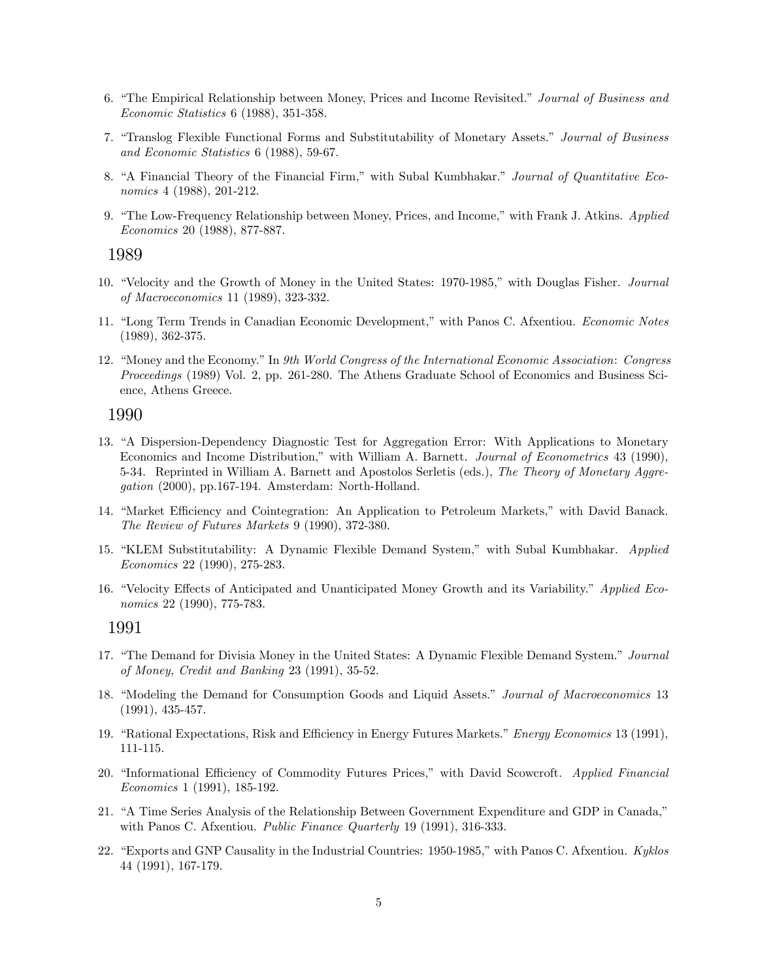- 6. "The Empirical Relationship between Money, Prices and Income Revisited." Journal of Business and Economic Statistics 6 (1988), 351-358.
- 7. "Translog Flexible Functional Forms and Substitutability of Monetary Assets." Journal of Business and Economic Statistics 6 (1988), 59-67.
- 8. "A Financial Theory of the Financial Firm," with Subal Kumbhakar." Journal of Quantitative Economics 4 (1988), 201-212.
- 9. "The Low-Frequency Relationship between Money, Prices, and Income," with Frank J. Atkins. Applied Economics 20 (1988), 877-887.

- 10. "Velocity and the Growth of Money in the United States: 1970-1985," with Douglas Fisher. Journal of Macroeconomics 11 (1989), 323-332.
- 11. "Long Term Trends in Canadian Economic Development," with Panos C. Afxentiou. Economic Notes (1989), 362-375.
- 12. "Money and the Economy." In 9th World Congress of the International Economic Association: Congress Proceedings (1989) Vol. 2, pp. 261-280. The Athens Graduate School of Economics and Business Science, Athens Greece.

#### 1990

- 13. "A Dispersion-Dependency Diagnostic Test for Aggregation Error: With Applications to Monetary Economics and Income Distribution," with William A. Barnett. Journal of Econometrics 43 (1990), 5-34. Reprinted in William A. Barnett and Apostolos Serletis (eds.), The Theory of Monetary Aggregation (2000), pp.167-194. Amsterdam: North-Holland.
- 14. "Market Efficiency and Cointegration: An Application to Petroleum Markets," with David Banack. The Review of Futures Markets 9 (1990), 372-380.
- 15. "KLEM Substitutability: A Dynamic Flexible Demand System," with Subal Kumbhakar. Applied Economics 22 (1990), 275-283.
- 16. "Velocity Effects of Anticipated and Unanticipated Money Growth and its Variability." Applied Economics 22 (1990), 775-783.

- 17. "The Demand for Divisia Money in the United States: A Dynamic Flexible Demand System." Journal of Money, Credit and Banking 23 (1991), 35-52.
- 18. "Modeling the Demand for Consumption Goods and Liquid Assets." Journal of Macroeconomics 13 (1991), 435-457.
- 19. "Rational Expectations, Risk and Efficiency in Energy Futures Markets." *Energy Economics* 13 (1991), 111-115.
- 20. "Informational Efficiency of Commodity Futures Prices," with David Scowcroft. Applied Financial Economics 1 (1991), 185-192.
- 21. "A Time Series Analysis of the Relationship Between Government Expenditure and GDP in Canada," with Panos C. Afxentiou. *Public Finance Quarterly* 19 (1991), 316-333.
- 22. "Exports and GNP Causality in the Industrial Countries: 1950-1985," with Panos C. Afxentiou. Kyklos 44 (1991), 167-179.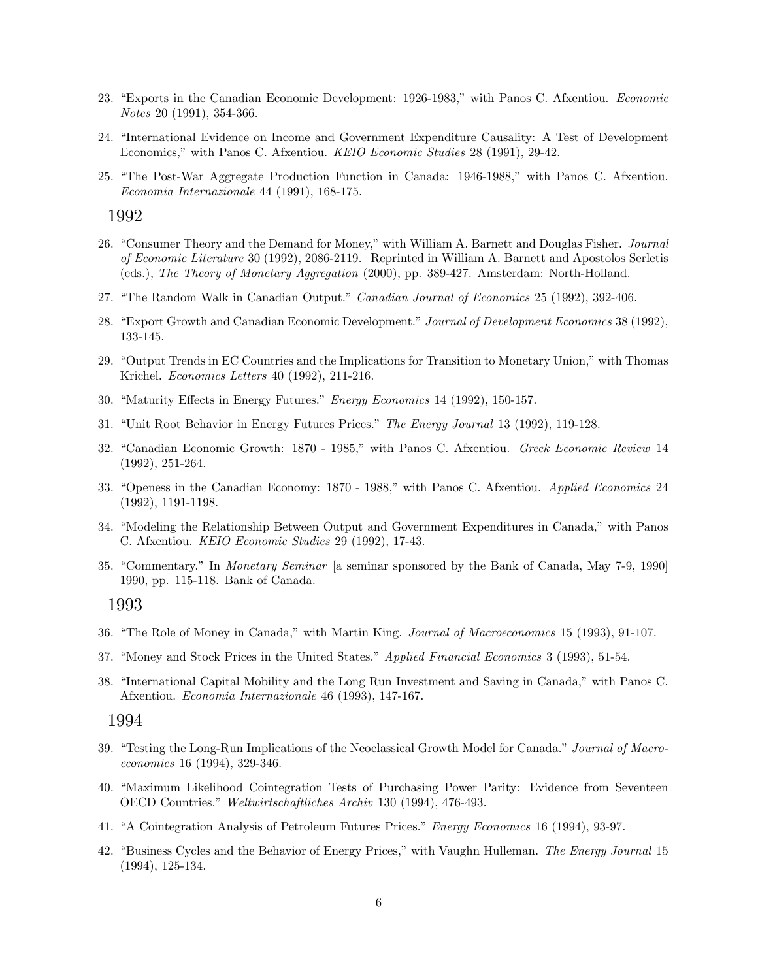- 23. "Exports in the Canadian Economic Development: 1926-1983," with Panos C. Afxentiou. Economic Notes 20 (1991), 354-366.
- 24. "International Evidence on Income and Government Expenditure Causality: A Test of Development Economics," with Panos C. Afxentiou. KEIO Economic Studies 28 (1991), 29-42.
- 25. "The Post-War Aggregate Production Function in Canada: 1946-1988," with Panos C. Afxentiou. Economia Internazionale 44 (1991), 168-175.

- 26. "Consumer Theory and the Demand for Money," with William A. Barnett and Douglas Fisher. Journal of Economic Literature 30 (1992), 2086-2119. Reprinted in William A. Barnett and Apostolos Serletis (eds.), The Theory of Monetary Aggregation (2000), pp. 389-427. Amsterdam: North-Holland.
- 27. "The Random Walk in Canadian Output." Canadian Journal of Economics 25 (1992), 392-406.
- 28. "Export Growth and Canadian Economic Development." Journal of Development Economics 38 (1992), 133-145.
- 29. "Output Trends in EC Countries and the Implications for Transition to Monetary Union," with Thomas Krichel. Economics Letters 40 (1992), 211-216.
- 30. "Maturity Effects in Energy Futures." Energy Economics 14 (1992), 150-157.
- 31. "Unit Root Behavior in Energy Futures Prices." The Energy Journal 13 (1992), 119-128.
- 32. "Canadian Economic Growth: 1870 1985," with Panos C. Afxentiou. Greek Economic Review 14 (1992), 251-264.
- 33. "Openess in the Canadian Economy: 1870 1988," with Panos C. Afxentiou. Applied Economics 24 (1992), 1191-1198.
- 34. "Modeling the Relationship Between Output and Government Expenditures in Canada," with Panos C. Afxentiou. KEIO Economic Studies 29 (1992), 17-43.
- 35. "Commentary." In *Monetary Seminar* [a seminar sponsored by the Bank of Canada, May 7-9, 1990] 1990, pp. 115-118. Bank of Canada.

#### 1993

- 36. "The Role of Money in Canada," with Martin King. Journal of Macroeconomics 15 (1993), 91-107.
- 37. "Money and Stock Prices in the United States." Applied Financial Economics 3 (1993), 51-54.
- 38. "International Capital Mobility and the Long Run Investment and Saving in Canada," with Panos C. Afxentiou. Economia Internazionale 46 (1993), 147-167.

- 39. "Testing the Long-Run Implications of the Neoclassical Growth Model for Canada." Journal of Macroeconomics 16 (1994), 329-346.
- 40. "Maximum Likelihood Cointegration Tests of Purchasing Power Parity: Evidence from Seventeen OECD Countries." Weltwirtschaftliches Archiv 130 (1994), 476-493.
- 41. "A Cointegration Analysis of Petroleum Futures Prices." *Energy Economics* 16 (1994), 93-97.
- 42. "Business Cycles and the Behavior of Energy Prices," with Vaughn Hulleman. The Energy Journal 15 (1994), 125-134.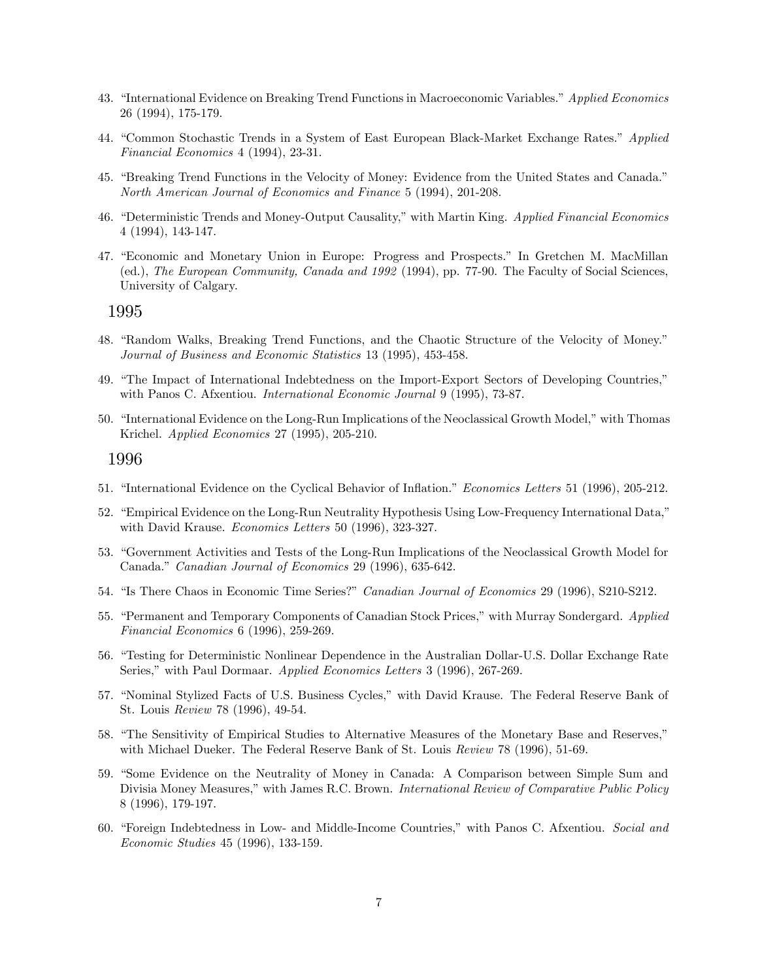- 43. "International Evidence on Breaking Trend Functions in Macroeconomic Variables." Applied Economics 26 (1994), 175-179.
- 44. "Common Stochastic Trends in a System of East European Black-Market Exchange Rates." Applied Financial Economics 4 (1994), 23-31.
- 45. "Breaking Trend Functions in the Velocity of Money: Evidence from the United States and Canada." North American Journal of Economics and Finance 5 (1994), 201-208.
- 46. "Deterministic Trends and Money-Output Causality," with Martin King. Applied Financial Economics 4 (1994), 143-147.
- 47. "Economic and Monetary Union in Europe: Progress and Prospects." In Gretchen M. MacMillan (ed.), The European Community, Canada and 1992 (1994), pp. 77-90. The Faculty of Social Sciences, University of Calgary.

- 48. "Random Walks, Breaking Trend Functions, and the Chaotic Structure of the Velocity of Money." Journal of Business and Economic Statistics 13 (1995), 453-458.
- 49. "The Impact of International Indebtedness on the Import-Export Sectors of Developing Countries," with Panos C. Afxentiou. International Economic Journal 9 (1995), 73-87.
- 50. "International Evidence on the Long-Run Implications of the Neoclassical Growth Model," with Thomas Krichel. Applied Economics 27 (1995), 205-210.

- 51. "International Evidence on the Cyclical Behavior of Inflation." Economics Letters 51 (1996), 205-212.
- 52. "Empirical Evidence on the Long-Run Neutrality Hypothesis Using Low-Frequency International Data," with David Krause. *Economics Letters* 50 (1996), 323-327.
- 53. "Government Activities and Tests of the Long-Run Implications of the Neoclassical Growth Model for Canada." Canadian Journal of Economics 29 (1996), 635-642.
- 54. "Is There Chaos in Economic Time Series?" Canadian Journal of Economics 29 (1996), S210-S212.
- 55. "Permanent and Temporary Components of Canadian Stock Prices," with Murray Sondergard. Applied Financial Economics 6 (1996), 259-269.
- 56. "Testing for Deterministic Nonlinear Dependence in the Australian Dollar-U.S. Dollar Exchange Rate Series," with Paul Dormaar. Applied Economics Letters 3 (1996), 267-269.
- 57. "Nominal Stylized Facts of U.S. Business Cycles," with David Krause. The Federal Reserve Bank of St. Louis Review 78 (1996), 49-54.
- 58. "The Sensitivity of Empirical Studies to Alternative Measures of the Monetary Base and Reserves," with Michael Dueker. The Federal Reserve Bank of St. Louis Review 78 (1996), 51-69.
- 59. "Some Evidence on the Neutrality of Money in Canada: A Comparison between Simple Sum and Divisia Money Measures," with James R.C. Brown. International Review of Comparative Public Policy 8 (1996), 179-197.
- 60. "Foreign Indebtedness in Low- and Middle-Income Countries," with Panos C. Afxentiou. Social and Economic Studies 45 (1996), 133-159.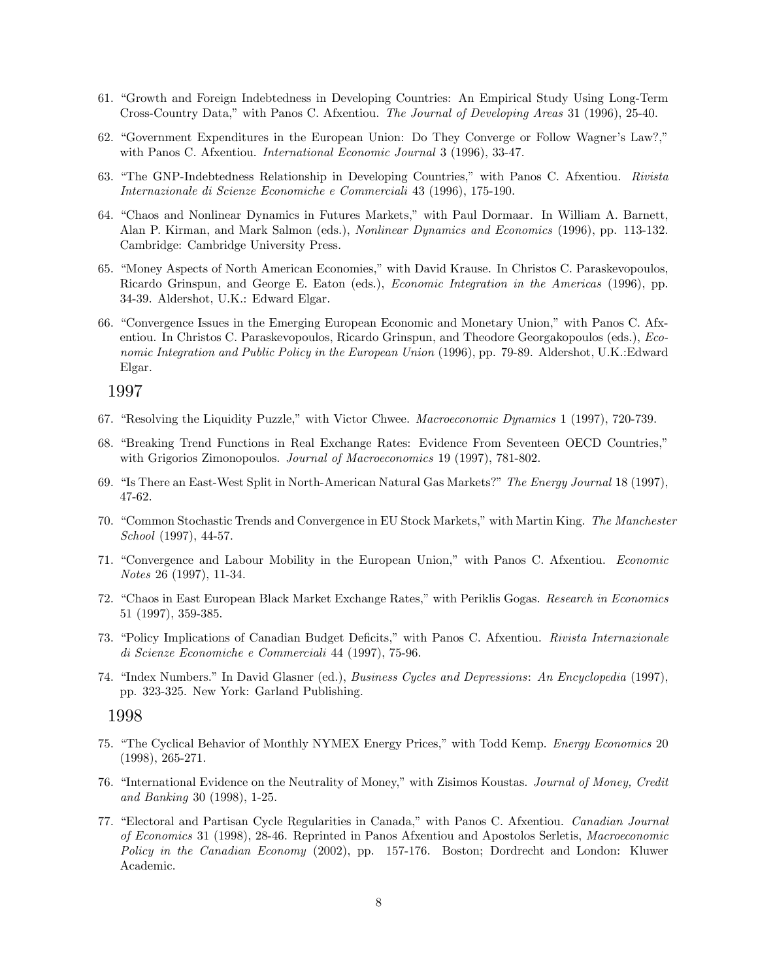- 61. "Growth and Foreign Indebtedness in Developing Countries: An Empirical Study Using Long-Term Cross-Country Data,îwith Panos C. Afxentiou. The Journal of Developing Areas 31 (1996), 25-40.
- 62. "Government Expenditures in the European Union: Do They Converge or Follow Wagner's Law?," with Panos C. Afxentiou. International Economic Journal 3 (1996), 33-47.
- 63. "The GNP-Indebtedness Relationship in Developing Countries," with Panos C. Afxentiou. Rivista Internazionale di Scienze Economiche e Commerciali 43 (1996), 175-190.
- 64. "Chaos and Nonlinear Dynamics in Futures Markets," with Paul Dormaar. In William A. Barnett, Alan P. Kirman, and Mark Salmon (eds.), Nonlinear Dynamics and Economics (1996), pp. 113-132. Cambridge: Cambridge University Press.
- 65. "Money Aspects of North American Economies," with David Krause. In Christos C. Paraskevopoulos, Ricardo Grinspun, and George E. Eaton (eds.), Economic Integration in the Americas (1996), pp. 34-39. Aldershot, U.K.: Edward Elgar.
- 66. "Convergence Issues in the Emerging European Economic and Monetary Union," with Panos C. Afxentiou. In Christos C. Paraskevopoulos, Ricardo Grinspun, and Theodore Georgakopoulos (eds.), Economic Integration and Public Policy in the European Union (1996), pp. 79-89. Aldershot, U.K.:Edward Elgar.

- 67. "Resolving the Liquidity Puzzle," with Victor Chwee. *Macroeconomic Dynamics* 1 (1997), 720-739.
- 68. "Breaking Trend Functions in Real Exchange Rates: Evidence From Seventeen OECD Countries," with Grigorios Zimonopoulos. *Journal of Macroeconomics* 19 (1997), 781-802.
- 69. "Is There an East-West Split in North-American Natural Gas Markets?" The Energy Journal 18 (1997), 47-62.
- 70. "Common Stochastic Trends and Convergence in EU Stock Markets," with Martin King. The Manchester School (1997), 44-57.
- 71. "Convergence and Labour Mobility in the European Union," with Panos C. Afxentiou. Economic Notes 26 (1997), 11-34.
- 72. "Chaos in East European Black Market Exchange Rates," with Periklis Gogas. Research in Economics 51 (1997), 359-385.
- 73. "Policy Implications of Canadian Budget Deficits," with Panos C. Afxentiou. Rivista Internazionale di Scienze Economiche e Commerciali 44 (1997), 75-96.
- 74. "Index Numbers." In David Glasner (ed.), Business Cycles and Depressions: An Encyclopedia (1997), pp. 323-325. New York: Garland Publishing.

- 75. "The Cyclical Behavior of Monthly NYMEX Energy Prices," with Todd Kemp. Energy Economics 20 (1998), 265-271.
- 76. "International Evidence on the Neutrality of Money," with Zisimos Koustas. Journal of Money, Credit and Banking 30 (1998), 1-25.
- 77. "Electoral and Partisan Cycle Regularities in Canada," with Panos C. Afxentiou. Canadian Journal of Economics 31 (1998), 28-46. Reprinted in Panos Afxentiou and Apostolos Serletis, Macroeconomic Policy in the Canadian Economy (2002), pp. 157-176. Boston; Dordrecht and London: Kluwer Academic.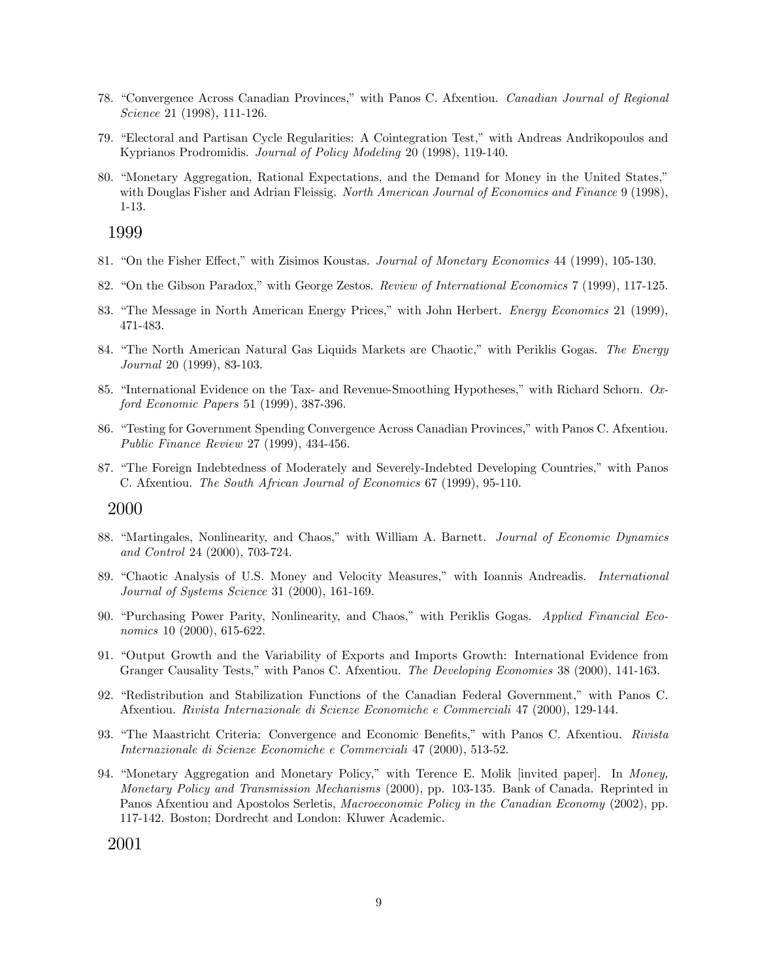- 78. "Convergence Across Canadian Provinces," with Panos C. Afxentiou. Canadian Journal of Regional Science 21 (1998), 111-126.
- 79. "Electoral and Partisan Cycle Regularities: A Cointegration Test," with Andreas Andrikopoulos and Kyprianos Prodromidis. Journal of Policy Modeling 20 (1998), 119-140.
- 80. "Monetary Aggregation, Rational Expectations, and the Demand for Money in the United States," with Douglas Fisher and Adrian Fleissig. North American Journal of Economics and Finance 9 (1998), 1-13.

- 81. "On the Fisher Effect," with Zisimos Koustas. Journal of Monetary Economics 44 (1999), 105-130.
- 82. "On the Gibson Paradox," with George Zestos. Review of International Economics 7 (1999), 117-125.
- 83. "The Message in North American Energy Prices," with John Herbert. *Energy Economics* 21 (1999), 471-483.
- 84. "The North American Natural Gas Liquids Markets are Chaotic," with Periklis Gogas. The Energy Journal 20 (1999), 83-103.
- 85. "International Evidence on the Tax- and Revenue-Smoothing Hypotheses," with Richard Schorn. Oxford Economic Papers 51 (1999), 387-396.
- 86. "Testing for Government Spending Convergence Across Canadian Provinces," with Panos C. Afxentiou. Public Finance Review 27 (1999), 434-456.
- 87. "The Foreign Indebtedness of Moderately and Severely-Indebted Developing Countries," with Panos C. Afxentiou. The South African Journal of Economics 67 (1999), 95-110.

2000

- 88. "Martingales, Nonlinearity, and Chaos," with William A. Barnett. Journal of Economic Dynamics and Control 24 (2000), 703-724.
- 89. "Chaotic Analysis of U.S. Money and Velocity Measures," with Ioannis Andreadis. *International* Journal of Systems Science 31 (2000), 161-169.
- 90. "Purchasing Power Parity, Nonlinearity, and Chaos," with Periklis Gogas. Applied Financial Economics 10 (2000), 615-622.
- 91. "Output Growth and the Variability of Exports and Imports Growth: International Evidence from Granger Causality Tests," with Panos C. Afxentiou. The Developing Economies 38 (2000), 141-163.
- 92. "Redistribution and Stabilization Functions of the Canadian Federal Government," with Panos C. Afxentiou. Rivista Internazionale di Scienze Economiche e Commerciali 47 (2000), 129-144.
- 93. "The Maastricht Criteria: Convergence and Economic Benefits," with Panos C. Afxentiou. Rivista Internazionale di Scienze Economiche e Commerciali 47 (2000), 513-52.
- 94. "Monetary Aggregation and Monetary Policy," with Terence E. Molik [invited paper]. In Money, Monetary Policy and Transmission Mechanisms (2000), pp. 103-135. Bank of Canada. Reprinted in Panos Afxentiou and Apostolos Serletis, Macroeconomic Policy in the Canadian Economy (2002), pp. 117-142. Boston; Dordrecht and London: Kluwer Academic.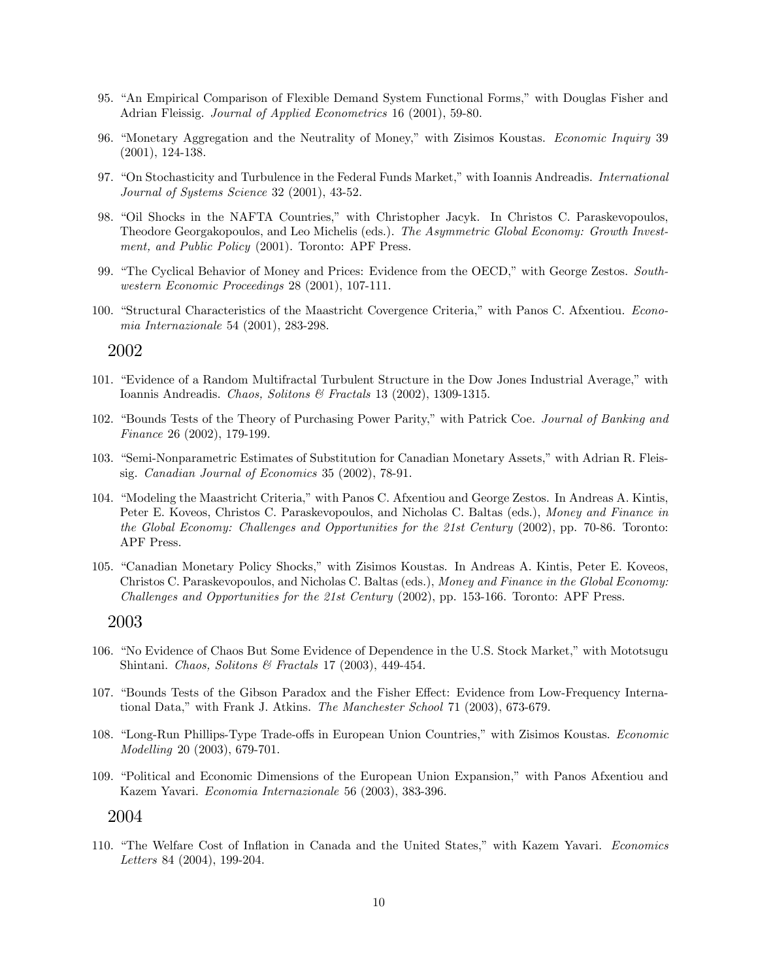- 95. "An Empirical Comparison of Flexible Demand System Functional Forms," with Douglas Fisher and Adrian Fleissig. Journal of Applied Econometrics 16 (2001), 59-80.
- 96. "Monetary Aggregation and the Neutrality of Money," with Zisimos Koustas. Economic Inquiry 39 (2001), 124-138.
- 97. "On Stochasticity and Turbulence in the Federal Funds Market," with Ioannis Andreadis. International Journal of Systems Science 32 (2001), 43-52.
- 98. "Oil Shocks in the NAFTA Countries," with Christopher Jacyk. In Christos C. Paraskevopoulos, Theodore Georgakopoulos, and Leo Michelis (eds.). The Asymmetric Global Economy: Growth Investment, and Public Policy (2001). Toronto: APF Press.
- 99. "The Cyclical Behavior of Money and Prices: Evidence from the OECD," with George Zestos. Southwestern Economic Proceedings 28 (2001), 107-111.
- 100. "Structural Characteristics of the Maastricht Covergence Criteria," with Panos C. Afxentiou. Economia Internazionale 54 (2001), 283-298.

- 101. "Evidence of a Random Multifractal Turbulent Structure in the Dow Jones Industrial Average," with Ioannis Andreadis. Chaos, Solitons & Fractals 13 (2002), 1309-1315.
- 102. "Bounds Tests of the Theory of Purchasing Power Parity," with Patrick Coe. Journal of Banking and Finance 26 (2002), 179-199.
- 103. "Semi-Nonparametric Estimates of Substitution for Canadian Monetary Assets," with Adrian R. Fleissig. Canadian Journal of Economics 35 (2002), 78-91.
- 104. "Modeling the Maastricht Criteria," with Panos C. Afxentiou and George Zestos. In Andreas A. Kintis, Peter E. Koveos, Christos C. Paraskevopoulos, and Nicholas C. Baltas (eds.), Money and Finance in the Global Economy: Challenges and Opportunities for the 21st Century (2002), pp. 70-86. Toronto: APF Press.
- 105. "Canadian Monetary Policy Shocks," with Zisimos Koustas. In Andreas A. Kintis, Peter E. Koveos, Christos C. Paraskevopoulos, and Nicholas C. Baltas (eds.), Money and Finance in the Global Economy: Challenges and Opportunities for the 21st Century (2002), pp. 153-166. Toronto: APF Press.

#### 2003

- 106. "No Evidence of Chaos But Some Evidence of Dependence in the U.S. Stock Market," with Mototsugu Shintani. Chaos, Solitons & Fractals 17 (2003), 449-454.
- 107. "Bounds Tests of the Gibson Paradox and the Fisher Effect: Evidence from Low-Frequency International Data," with Frank J. Atkins. The Manchester School 71 (2003), 673-679.
- 108. "Long-Run Phillips-Type Trade-offs in European Union Countries," with Zisimos Koustas. Economic Modelling 20 (2003), 679-701.
- 109. "Political and Economic Dimensions of the European Union Expansion," with Panos Afxentiou and Kazem Yavari. Economia Internazionale 56 (2003), 383-396.

#### 2004

110. "The Welfare Cost of Inflation in Canada and the United States," with Kazem Yavari. Economics Letters 84 (2004), 199-204.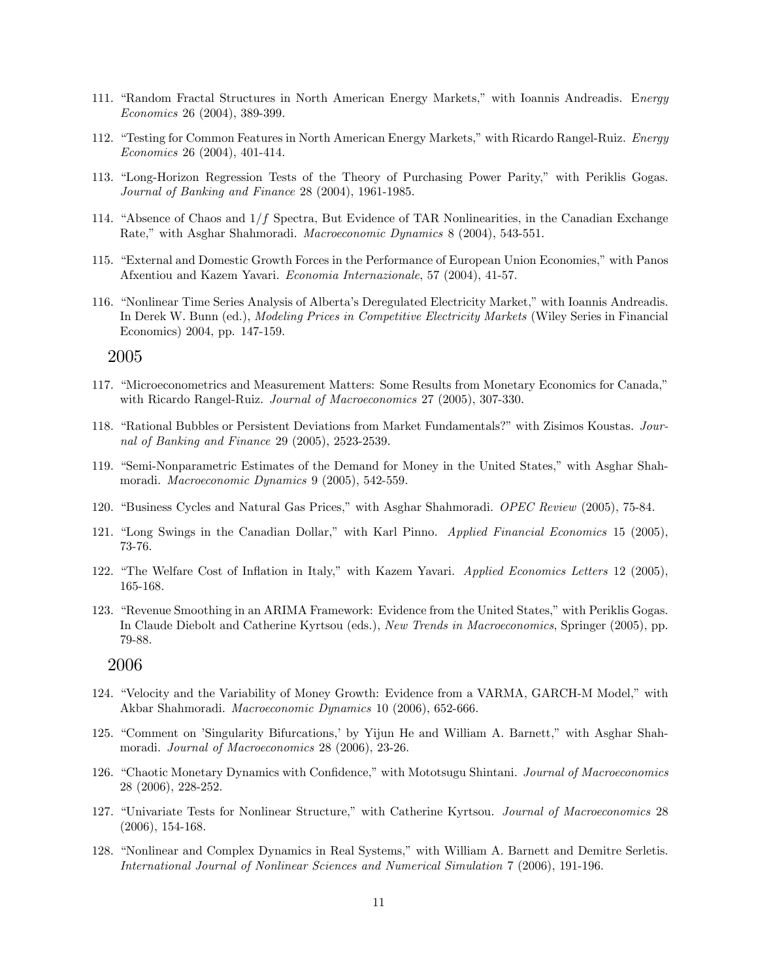- 111. "Random Fractal Structures in North American Energy Markets," with Ioannis Andreadis. Energy Economics 26 (2004), 389-399.
- 112. "Testing for Common Features in North American Energy Markets," with Ricardo Rangel-Ruiz. Energy Economics 26 (2004), 401-414.
- 113. "Long-Horizon Regression Tests of the Theory of Purchasing Power Parity," with Periklis Gogas. Journal of Banking and Finance 28 (2004), 1961-1985.
- 114. "Absence of Chaos and  $1/f$  Spectra, But Evidence of TAR Nonlinearities, in the Canadian Exchange Rate," with Asghar Shahmoradi. *Macroeconomic Dynamics* 8 (2004), 543-551.
- 115. "External and Domestic Growth Forces in the Performance of European Union Economies," with Panos Afxentiou and Kazem Yavari. Economia Internazionale, 57 (2004), 41-57.
- 116. "Nonlinear Time Series Analysis of Alberta's Deregulated Electricity Market," with Ioannis Andreadis. In Derek W. Bunn (ed.), Modeling Prices in Competitive Electricity Markets (Wiley Series in Financial Economics) 2004, pp. 147-159.

- 117. "Microeconometrics and Measurement Matters: Some Results from Monetary Economics for Canada," with Ricardo Rangel-Ruiz. Journal of Macroeconomics 27 (2005), 307-330.
- 118. "Rational Bubbles or Persistent Deviations from Market Fundamentals?" with Zisimos Koustas. Journal of Banking and Finance 29 (2005), 2523-2539.
- 119. "Semi-Nonparametric Estimates of the Demand for Money in the United States," with Asghar Shahmoradi. Macroeconomic Dynamics 9 (2005), 542-559.
- 120. "Business Cycles and Natural Gas Prices," with Asghar Shahmoradi. OPEC Review (2005), 75-84.
- 121. "Long Swings in the Canadian Dollar," with Karl Pinno. Applied Financial Economics 15 (2005), 73-76.
- 122. "The Welfare Cost of Inflation in Italy," with Kazem Yavari. Applied Economics Letters 12 (2005), 165-168.
- 123. "Revenue Smoothing in an ARIMA Framework: Evidence from the United States," with Periklis Gogas. In Claude Diebolt and Catherine Kyrtsou (eds.), New Trends in Macroeconomics, Springer (2005), pp. 79-88.

- 124. "Velocity and the Variability of Money Growth: Evidence from a VARMA, GARCH-M Model," with Akbar Shahmoradi. Macroeconomic Dynamics 10 (2006), 652-666.
- 125. "Comment on 'Singularity Bifurcations,' by Yijun He and William A. Barnett," with Asghar Shahmoradi. Journal of Macroeconomics 28 (2006), 23-26.
- 126. "Chaotic Monetary Dynamics with Confidence," with Mototsugu Shintani. Journal of Macroeconomics 28 (2006), 228-252.
- 127. "Univariate Tests for Nonlinear Structure," with Catherine Kyrtsou. Journal of Macroeconomics 28 (2006), 154-168.
- 128. "Nonlinear and Complex Dynamics in Real Systems," with William A. Barnett and Demitre Serletis. International Journal of Nonlinear Sciences and Numerical Simulation 7 (2006), 191-196.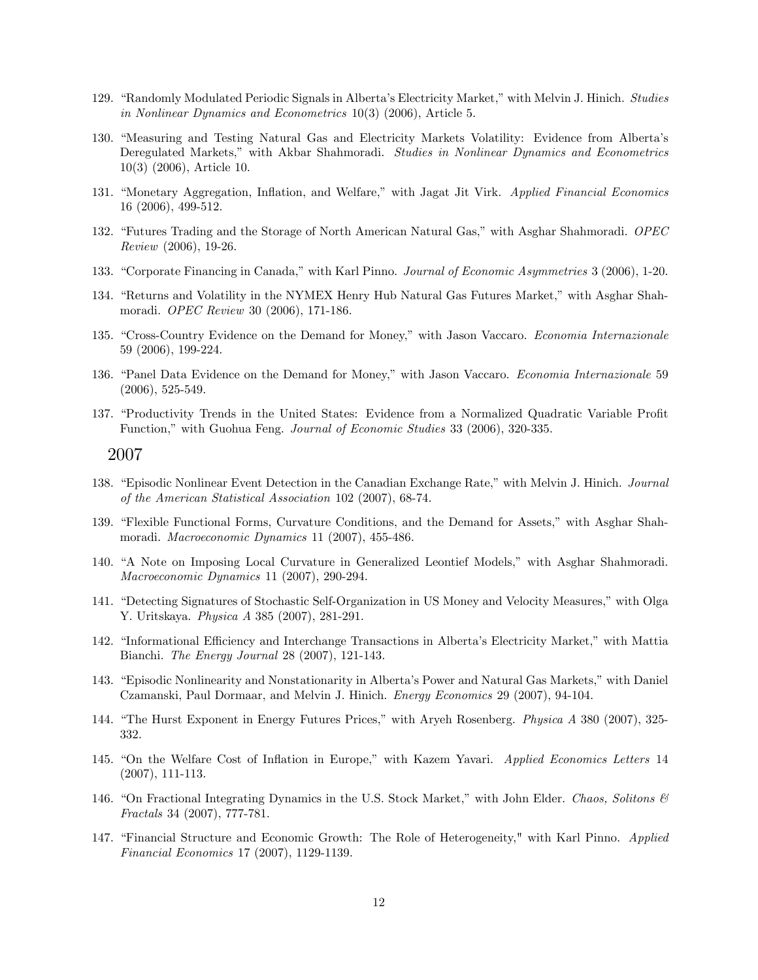- 129. "Randomly Modulated Periodic Signals in Alberta's Electricity Market," with Melvin J. Hinich. Studies in Nonlinear Dynamics and Econometrics 10(3) (2006), Article 5.
- 130. "Measuring and Testing Natural Gas and Electricity Markets Volatility: Evidence from Alberta's Deregulated Markets," with Akbar Shahmoradi. Studies in Nonlinear Dynamics and Econometrics 10(3) (2006), Article 10.
- 131. "Monetary Aggregation, Inflation, and Welfare," with Jagat Jit Virk. Applied Financial Economics 16 (2006), 499-512.
- 132. "Futures Trading and the Storage of North American Natural Gas," with Asghar Shahmoradi. OPEC Review (2006), 19-26.
- 133. "Corporate Financing in Canada," with Karl Pinno. Journal of Economic Asymmetries 3 (2006), 1-20.
- 134. "Returns and Volatility in the NYMEX Henry Hub Natural Gas Futures Market," with Asghar Shahmoradi. OPEC Review 30 (2006), 171-186.
- 135. "Cross-Country Evidence on the Demand for Money," with Jason Vaccaro. Economia Internazionale 59 (2006), 199-224.
- 136. "Panel Data Evidence on the Demand for Money," with Jason Vaccaro. Economia Internazionale 59 (2006), 525-549.
- 137. "Productivity Trends in the United States: Evidence from a Normalized Quadratic Variable Profit Function," with Guohua Feng. Journal of Economic Studies 33 (2006), 320-335.

- 138. "Episodic Nonlinear Event Detection in the Canadian Exchange Rate," with Melvin J. Hinich. Journal of the American Statistical Association 102 (2007), 68-74.
- 139. "Flexible Functional Forms, Curvature Conditions, and the Demand for Assets," with Asghar Shahmoradi. Macroeconomic Dynamics 11 (2007), 455-486.
- 140. "A Note on Imposing Local Curvature in Generalized Leontief Models," with Asghar Shahmoradi. Macroeconomic Dynamics 11 (2007), 290-294.
- 141. "Detecting Signatures of Stochastic Self-Organization in US Money and Velocity Measures," with Olga Y. Uritskaya. Physica A 385 (2007), 281-291.
- 142. "Informational Efficiency and Interchange Transactions in Alberta's Electricity Market," with Mattia Bianchi. The Energy Journal 28 (2007), 121-143.
- 143. "Episodic Nonlinearity and Nonstationarity in Alberta's Power and Natural Gas Markets," with Daniel Czamanski, Paul Dormaar, and Melvin J. Hinich. Energy Economics 29 (2007), 94-104.
- 144. "The Hurst Exponent in Energy Futures Prices," with Aryeh Rosenberg. *Physica A* 380 (2007), 325-332.
- 145. "On the Welfare Cost of Inflation in Europe," with Kazem Yavari. Applied Economics Letters 14 (2007), 111-113.
- 146. "On Fractional Integrating Dynamics in the U.S. Stock Market," with John Elder. Chaos, Solitons  $\mathcal{B}$ Fractals 34 (2007), 777-781.
- 147. "Financial Structure and Economic Growth: The Role of Heterogeneity," with Karl Pinno. Applied Financial Economics 17 (2007), 1129-1139.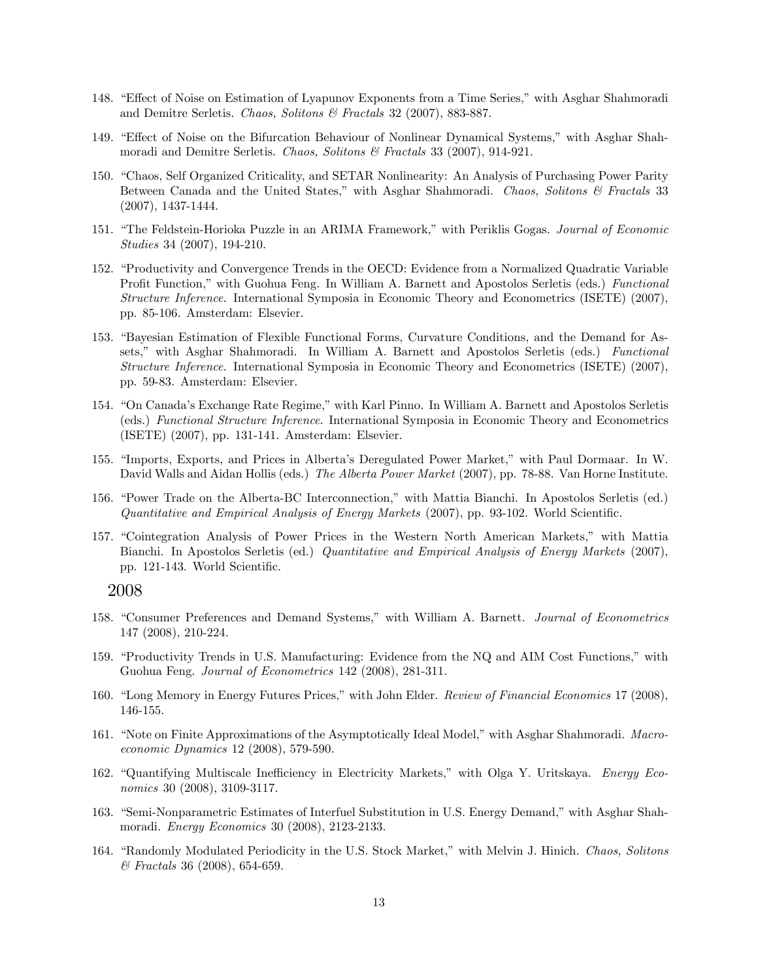- 148. "Effect of Noise on Estimation of Lyapunov Exponents from a Time Series," with Asghar Shahmoradi and Demitre Serletis. Chaos, Solitons & Fractals 32 (2007), 883-887.
- 149. "Effect of Noise on the Bifurcation Behaviour of Nonlinear Dynamical Systems," with Asghar Shahmoradi and Demitre Serletis. Chaos, Solitons & Fractals 33 (2007), 914-921.
- 150. "Chaos, Self Organized Criticality, and SETAR Nonlinearity: An Analysis of Purchasing Power Parity Between Canada and the United States," with Asghar Shahmoradi. Chaos, Solitons & Fractals 33 (2007), 1437-1444.
- 151. "The Feldstein-Horioka Puzzle in an ARIMA Framework," with Periklis Gogas. Journal of Economic Studies 34 (2007), 194-210.
- 152. "Productivity and Convergence Trends in the OECD: Evidence from a Normalized Quadratic Variable Profit Function," with Guohua Feng. In William A. Barnett and Apostolos Serletis (eds.) Functional Structure Inference. International Symposia in Economic Theory and Econometrics (ISETE) (2007), pp. 85-106. Amsterdam: Elsevier.
- 153. "Bayesian Estimation of Flexible Functional Forms, Curvature Conditions, and the Demand for Assets," with Asghar Shahmoradi. In William A. Barnett and Apostolos Serletis (eds.) Functional Structure Inference. International Symposia in Economic Theory and Econometrics (ISETE) (2007), pp. 59-83. Amsterdam: Elsevier.
- 154. "On Canada's Exchange Rate Regime," with Karl Pinno. In William A. Barnett and Apostolos Serletis (eds.) Functional Structure Inference. International Symposia in Economic Theory and Econometrics (ISETE) (2007), pp. 131-141. Amsterdam: Elsevier.
- 155. "Imports, Exports, and Prices in Alberta's Deregulated Power Market," with Paul Dormaar. In W. David Walls and Aidan Hollis (eds.) The Alberta Power Market (2007), pp. 78-88. Van Horne Institute.
- 156. "Power Trade on the Alberta-BC Interconnection," with Mattia Bianchi. In Apostolos Serletis (ed.) Quantitative and Empirical Analysis of Energy Markets  $(2007)$ , pp. 93-102. World Scientific.
- 157. "Cointegration Analysis of Power Prices in the Western North American Markets," with Mattia Bianchi. In Apostolos Serletis (ed.) Quantitative and Empirical Analysis of Energy Markets (2007), pp. 121-143. World Scientific.

- 158. "Consumer Preferences and Demand Systems," with William A. Barnett. Journal of Econometrics 147 (2008), 210-224.
- 159. "Productivity Trends in U.S. Manufacturing: Evidence from the NQ and AIM Cost Functions," with Guohua Feng. Journal of Econometrics 142 (2008), 281-311.
- 160. "Long Memory in Energy Futures Prices," with John Elder. Review of Financial Economics 17 (2008), 146-155.
- 161. "Note on Finite Approximations of the Asymptotically Ideal Model," with Asghar Shahmoradi. Macroeconomic Dynamics 12 (2008), 579-590.
- 162. "Quantifying Multiscale Inefficiency in Electricity Markets," with Olga Y. Uritskaya. Energy Economics 30 (2008), 3109-3117.
- 163. "Semi-Nonparametric Estimates of Interfuel Substitution in U.S. Energy Demand," with Asghar Shahmoradi. Energy Economics 30 (2008), 2123-2133.
- 164. "Randomly Modulated Periodicity in the U.S. Stock Market," with Melvin J. Hinich. Chaos, Solitons & Fractals 36 (2008), 654-659.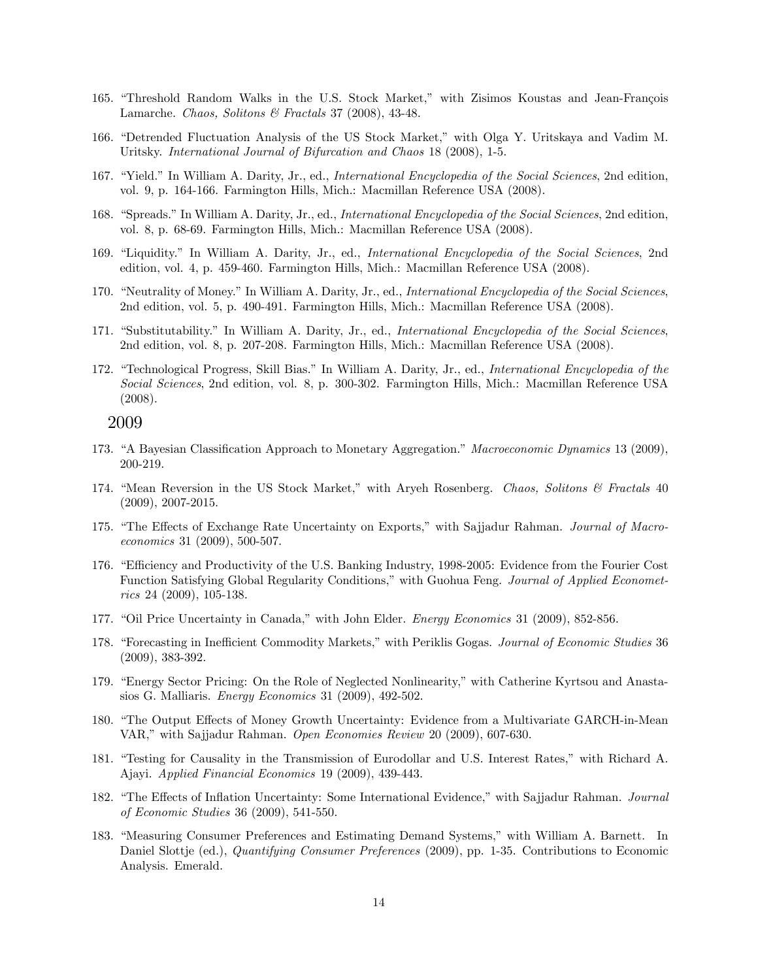- 165. "Threshold Random Walks in the U.S. Stock Market," with Zisimos Koustas and Jean-François Lamarche. Chaos, Solitons & Fractals 37 (2008), 43-48.
- 166. "Detrended Fluctuation Analysis of the US Stock Market," with Olga Y. Uritskaya and Vadim M. Uritsky. International Journal of Bifurcation and Chaos 18 (2008), 1-5.
- 167. "Yield." In William A. Darity, Jr., ed., *International Encyclopedia of the Social Sciences*, 2nd edition, vol. 9, p. 164-166. Farmington Hills, Mich.: Macmillan Reference USA (2008).
- 168. "Spreads." In William A. Darity, Jr., ed., *International Encyclopedia of the Social Sciences*, 2nd edition, vol. 8, p. 68-69. Farmington Hills, Mich.: Macmillan Reference USA (2008).
- 169. "Liquidity." In William A. Darity, Jr., ed., International Encyclopedia of the Social Sciences, 2nd edition, vol. 4, p. 459-460. Farmington Hills, Mich.: Macmillan Reference USA (2008).
- 170. "Neutrality of Money." In William A. Darity, Jr., ed., International Encyclopedia of the Social Sciences, 2nd edition, vol. 5, p. 490-491. Farmington Hills, Mich.: Macmillan Reference USA (2008).
- 171. "Substitutability." In William A. Darity, Jr., ed., International Encyclopedia of the Social Sciences, 2nd edition, vol. 8, p. 207-208. Farmington Hills, Mich.: Macmillan Reference USA (2008).
- 172. "Technological Progress, Skill Bias." In William A. Darity, Jr., ed., International Encyclopedia of the Social Sciences, 2nd edition, vol. 8, p. 300-302. Farmington Hills, Mich.: Macmillan Reference USA (2008).

- 173. "A Bayesian Classification Approach to Monetary Aggregation." Macroeconomic Dynamics 13 (2009), 200-219.
- 174. "Mean Reversion in the US Stock Market," with Aryeh Rosenberg. Chaos, Solitons & Fractals 40 (2009), 2007-2015.
- 175. "The Effects of Exchange Rate Uncertainty on Exports," with Sajjadur Rahman. Journal of Macroeconomics 31 (2009), 500-507.
- 176. "Efficiency and Productivity of the U.S. Banking Industry, 1998-2005: Evidence from the Fourier Cost Function Satisfying Global Regularity Conditions," with Guohua Feng. *Journal of Applied Economet*rics 24 (2009), 105-138.
- 177. "Oil Price Uncertainty in Canada," with John Elder. *Energy Economics* 31 (2009), 852-856.
- 178. "Forecasting in Inefficient Commodity Markets," with Periklis Gogas. Journal of Economic Studies 36 (2009), 383-392.
- 179. "Energy Sector Pricing: On the Role of Neglected Nonlinearity," with Catherine Kyrtsou and Anastasios G. Malliaris. Energy Economics 31 (2009), 492-502.
- 180. "The Output Effects of Money Growth Uncertainty: Evidence from a Multivariate GARCH-in-Mean VAR," with Sajjadur Rahman. Open Economies Review 20 (2009), 607-630.
- 181. "Testing for Causality in the Transmission of Eurodollar and U.S. Interest Rates," with Richard A. Ajayi. Applied Financial Economics 19 (2009), 439-443.
- 182. "The Effects of Inflation Uncertainty: Some International Evidence," with Sajjadur Rahman. Journal of Economic Studies 36 (2009), 541-550.
- 183. "Measuring Consumer Preferences and Estimating Demand Systems," with William A. Barnett. In Daniel Slottje (ed.), Quantifying Consumer Preferences (2009), pp. 1-35. Contributions to Economic Analysis. Emerald.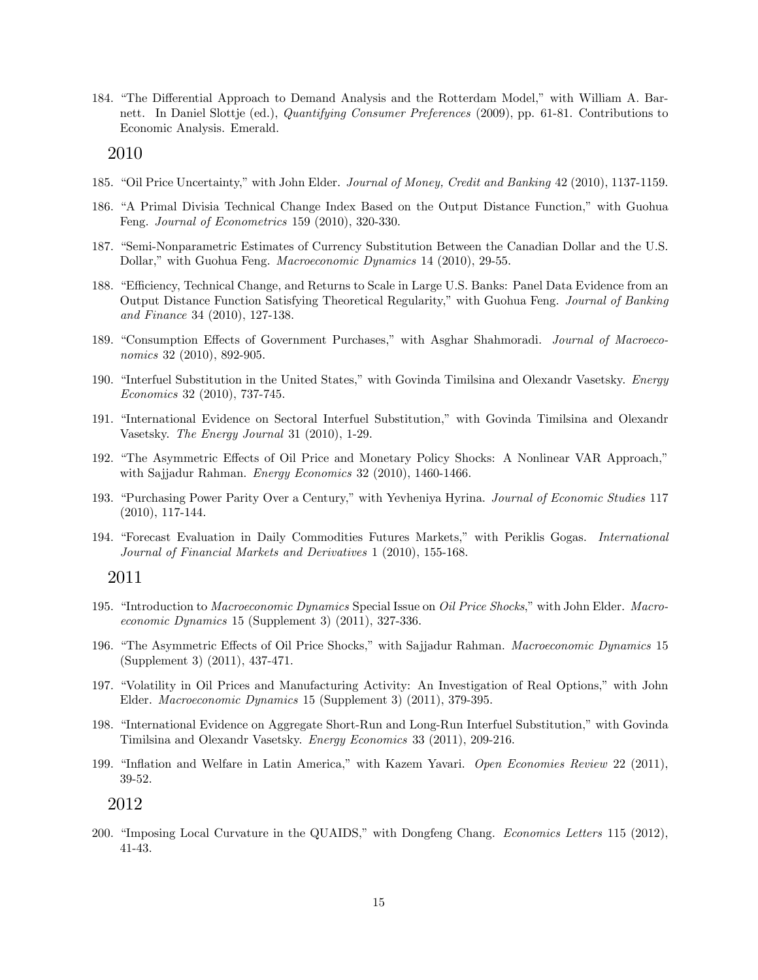184. "The Differential Approach to Demand Analysis and the Rotterdam Model," with William A. Barnett. In Daniel Slottje (ed.), Quantifying Consumer Preferences (2009), pp. 61-81. Contributions to Economic Analysis. Emerald.

2010

- 185. "Oil Price Uncertainty," with John Elder. Journal of Money, Credit and Banking 42 (2010), 1137-1159.
- 186. "A Primal Divisia Technical Change Index Based on the Output Distance Function," with Guohua Feng. Journal of Econometrics 159 (2010), 320-330.
- 187. "Semi-Nonparametric Estimates of Currency Substitution Between the Canadian Dollar and the U.S. Dollar," with Guohua Feng. *Macroeconomic Dynamics* 14 (2010), 29-55.
- 188. "Efficiency, Technical Change, and Returns to Scale in Large U.S. Banks: Panel Data Evidence from an Output Distance Function Satisfying Theoretical Regularity," with Guohua Feng. Journal of Banking and Finance 34 (2010), 127-138.
- 189. "Consumption Effects of Government Purchases," with Asghar Shahmoradi. Journal of Macroeconomics 32 (2010), 892-905.
- 190. "Interfuel Substitution in the United States," with Govinda Timilsina and Olexandr Vasetsky. Energy Economics 32 (2010), 737-745.
- 191. "International Evidence on Sectoral Interfuel Substitution," with Govinda Timilsina and Olexandr Vasetsky. The Energy Journal 31 (2010), 1-29.
- 192. "The Asymmetric Effects of Oil Price and Monetary Policy Shocks: A Nonlinear VAR Approach," with Sajjadur Rahman. *Energy Economics* 32 (2010), 1460-1466.
- 193. "Purchasing Power Parity Over a Century," with Yevheniya Hyrina. Journal of Economic Studies 117 (2010), 117-144.
- 194. "Forecast Evaluation in Daily Commodities Futures Markets," with Periklis Gogas. International Journal of Financial Markets and Derivatives 1 (2010), 155-168.

#### 2011

- 195. "Introduction to Macroeconomic Dynamics Special Issue on Oil Price Shocks," with John Elder. Macroeconomic Dynamics 15 (Supplement 3) (2011), 327-336.
- 196. "The Asymmetric Effects of Oil Price Shocks," with Sajjadur Rahman. Macroeconomic Dynamics 15 (Supplement 3) (2011), 437-471.
- 197. "Volatility in Oil Prices and Manufacturing Activity: An Investigation of Real Options," with John Elder. Macroeconomic Dynamics 15 (Supplement 3) (2011), 379-395.
- 198. "International Evidence on Aggregate Short-Run and Long-Run Interfuel Substitution," with Govinda Timilsina and Olexandr Vasetsky. Energy Economics 33 (2011), 209-216.
- 199. "Inflation and Welfare in Latin America," with Kazem Yavari. Open Economies Review 22 (2011), 39-52.

2012

200. "Imposing Local Curvature in the QUAIDS," with Dongfeng Chang. Economics Letters 115 (2012), 41-43.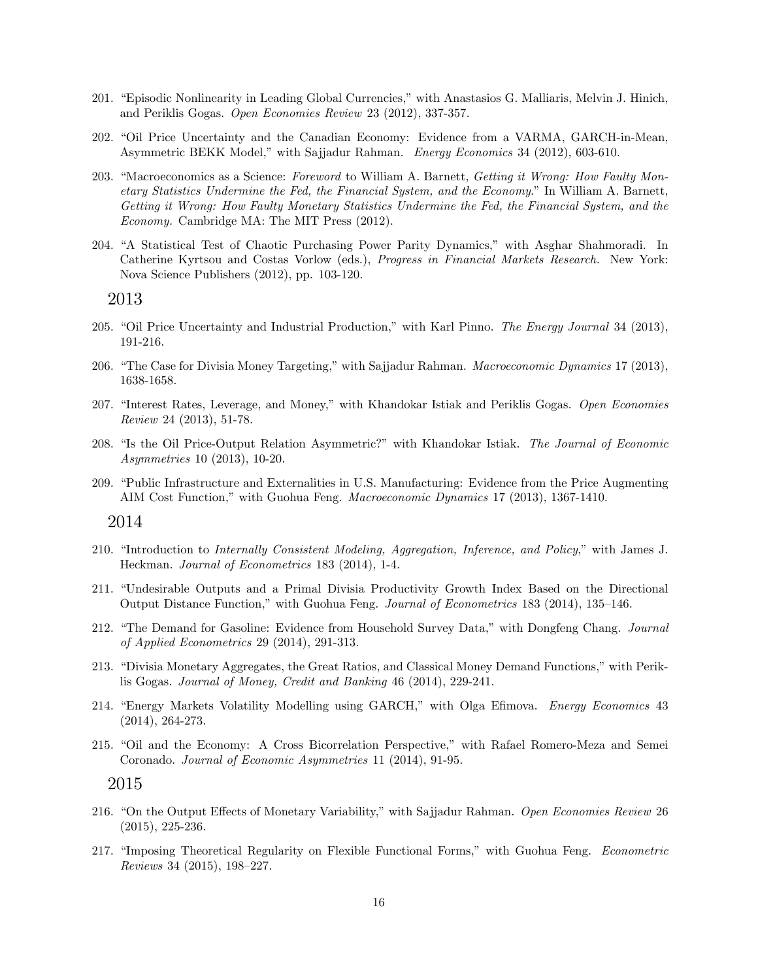- 201. "Episodic Nonlinearity in Leading Global Currencies," with Anastasios G. Malliaris, Melvin J. Hinich, and Periklis Gogas. Open Economies Review 23 (2012), 337-357.
- 202. "Oil Price Uncertainty and the Canadian Economy: Evidence from a VARMA, GARCH-in-Mean, Asymmetric BEKK Model," with Sajjadur Rahman. Energy Economics 34 (2012), 603-610.
- 203. "Macroeconomics as a Science: Foreword to William A. Barnett, Getting it Wrong: How Faulty Monetary Statistics Undermine the Fed, the Financial System, and the Economy.î In William A. Barnett, Getting it Wrong: How Faulty Monetary Statistics Undermine the Fed, the Financial System, and the Economy. Cambridge MA: The MIT Press (2012).
- 204. "A Statistical Test of Chaotic Purchasing Power Parity Dynamics," with Asghar Shahmoradi. In Catherine Kyrtsou and Costas Vorlow (eds.), Progress in Financial Markets Research. New York: Nova Science Publishers (2012), pp. 103-120.

- 205. "Oil Price Uncertainty and Industrial Production," with Karl Pinno. The Energy Journal 34 (2013), 191-216.
- 206. "The Case for Divisia Money Targeting," with Sajjadur Rahman. Macroeconomic Dynamics 17 (2013), 1638-1658.
- 207. "Interest Rates, Leverage, and Money," with Khandokar Istiak and Periklis Gogas. Open Economies Review 24 (2013), 51-78.
- 208. "Is the Oil Price-Output Relation Asymmetric?" with Khandokar Istiak. The Journal of Economic Asymmetries 10 (2013), 10-20.
- 209. "Public Infrastructure and Externalities in U.S. Manufacturing: Evidence from the Price Augmenting AIM Cost Function," with Guohua Feng. *Macroeconomic Dynamics* 17 (2013), 1367-1410.

#### 2014

- 210. "Introduction to Internally Consistent Modeling, Aggregation, Inference, and Policy," with James J. Heckman. Journal of Econometrics 183 (2014), 1-4.
- 211. "Undesirable Outputs and a Primal Divisia Productivity Growth Index Based on the Directional Output Distance Function," with Guohua Feng. *Journal of Econometrics* 183 (2014), 135–146.
- 212. "The Demand for Gasoline: Evidence from Household Survey Data," with Dongfeng Chang. Journal of Applied Econometrics 29 (2014), 291-313.
- 213. "Divisia Monetary Aggregates, the Great Ratios, and Classical Money Demand Functions," with Periklis Gogas. Journal of Money, Credit and Banking 46 (2014), 229-241.
- 214. "Energy Markets Volatility Modelling using GARCH," with Olga Efimova. Energy Economics 43 (2014), 264-273.
- 215. "Oil and the Economy: A Cross Bicorrelation Perspective," with Rafael Romero-Meza and Semei Coronado. Journal of Economic Asymmetries 11 (2014), 91-95.

- 216. "On the Output Effects of Monetary Variability," with Sajjadur Rahman. Open Economies Review 26 (2015), 225-236.
- 217. "Imposing Theoretical Regularity on Flexible Functional Forms," with Guohua Feng. Econometric Reviews 34 (2015),  $198-227$ .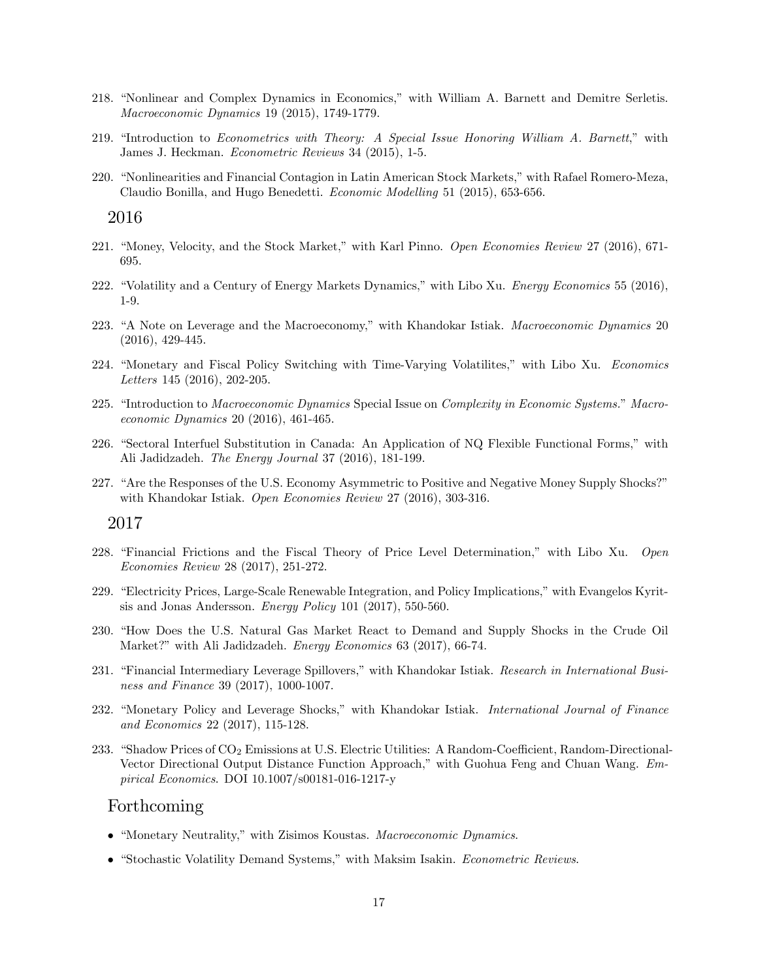- 218. "Nonlinear and Complex Dynamics in Economics," with William A. Barnett and Demitre Serletis. Macroeconomic Dynamics 19 (2015), 1749-1779.
- 219. "Introduction to Econometrics with Theory: A Special Issue Honoring William A. Barnett," with James J. Heckman. Econometric Reviews 34 (2015), 1-5.
- 220. "Nonlinearities and Financial Contagion in Latin American Stock Markets," with Rafael Romero-Meza, Claudio Bonilla, and Hugo Benedetti. Economic Modelling 51 (2015), 653-656.

- 221. "Money, Velocity, and the Stock Market," with Karl Pinno. *Open Economies Review* 27 (2016), 671-695.
- 222. "Volatility and a Century of Energy Markets Dynamics," with Libo Xu. Energy Economics 55 (2016), 1-9.
- 223. "A Note on Leverage and the Macroeconomy," with Khandokar Istiak. Macroeconomic Dynamics 20 (2016), 429-445.
- 224. "Monetary and Fiscal Policy Switching with Time-Varying Volatilities," with Libo Xu. Economics Letters 145 (2016), 202-205.
- 225. "Introduction to Macroeconomic Dynamics Special Issue on Complexity in Economic Systems." Macroeconomic Dynamics 20 (2016), 461-465.
- 226. "Sectoral Interfuel Substitution in Canada: An Application of NQ Flexible Functional Forms," with Ali Jadidzadeh. The Energy Journal 37 (2016), 181-199.
- 227. "Are the Responses of the U.S. Economy Asymmetric to Positive and Negative Money Supply Shocks?" with Khandokar Istiak. Open Economies Review 27 (2016), 303-316.

#### 2017

- 228. "Financial Frictions and the Fiscal Theory of Price Level Determination," with Libo Xu. Open Economies Review 28 (2017), 251-272.
- 229. "Electricity Prices, Large-Scale Renewable Integration, and Policy Implications," with Evangelos Kyritsis and Jonas Andersson. Energy Policy 101 (2017), 550-560.
- 230. "How Does the U.S. Natural Gas Market React to Demand and Supply Shocks in the Crude Oil Market?" with Ali Jadidzadeh. Energy Economics 63 (2017), 66-74.
- 231. "Financial Intermediary Leverage Spillovers," with Khandokar Istiak. Research in International Business and Finance 39 (2017), 1000-1007.
- 232. "Monetary Policy and Leverage Shocks," with Khandokar Istiak. International Journal of Finance and Economics 22 (2017), 115-128.
- 233. "Shadow Prices of  $CO_2$  Emissions at U.S. Electric Utilities: A Random-Coefficient, Random-Directional-Vector Directional Output Distance Function Approach," with Guohua Feng and Chuan Wang. Empirical Economics. DOI 10.1007/s00181-016-1217-y

#### Forthcoming

- "Monetary Neutrality," with Zisimos Koustas. Macroeconomic Dynamics.
- "Stochastic Volatility Demand Systems," with Maksim Isakin. Econometric Reviews.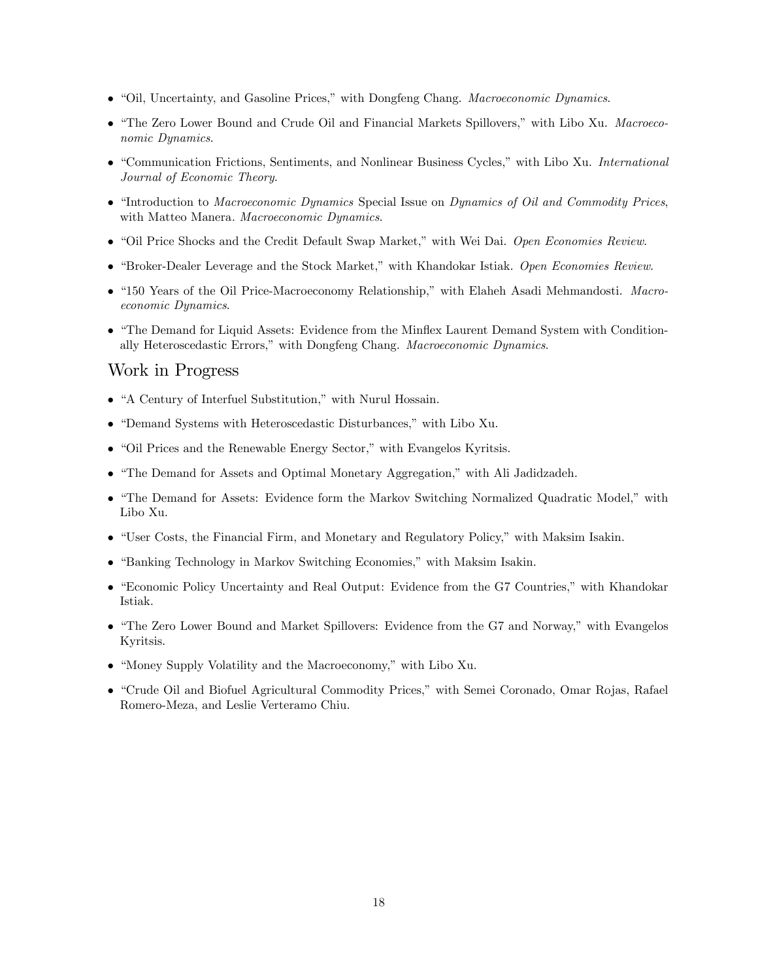- "Oil, Uncertainty, and Gasoline Prices," with Dongfeng Chang. Macroeconomic Dynamics.
- "The Zero Lower Bound and Crude Oil and Financial Markets Spillovers," with Libo Xu. Macroeconomic Dynamics.
- "Communication Frictions, Sentiments, and Nonlinear Business Cycles," with Libo Xu. International Journal of Economic Theory.
- "Introduction to Macroeconomic Dynamics Special Issue on Dynamics of Oil and Commodity Prices, with Matteo Manera. Macroeconomic Dynamics.
- "Oil Price Shocks and the Credit Default Swap Market," with Wei Dai. Open Economies Review.
- $\bullet$  "Broker-Dealer Leverage and the Stock Market," with Khandokar Istiak. Open Economies Review.
- "150 Years of the Oil Price-Macroeconomy Relationship," with Elaheh Asadi Mehmandosti. Macroeconomic Dynamics.
- "The Demand for Liquid Assets: Evidence from the Minflex Laurent Demand System with Conditionally Heteroscedastic Errors," with Dongfeng Chang. Macroeconomic Dynamics.

## Work in Progress

- "A Century of Interfuel Substitution," with Nurul Hossain.
- "Demand Systems with Heteroscedastic Disturbances," with Libo Xu.
- $\bullet$  "Oil Prices and the Renewable Energy Sector," with Evangelos Kyritsis.
- "The Demand for Assets and Optimal Monetary Aggregation," with Ali Jadidzadeh.
- "The Demand for Assets: Evidence form the Markov Switching Normalized Quadratic Model," with Libo Xu.
- $\bullet$  "User Costs, the Financial Firm, and Monetary and Regulatory Policy," with Maksim Isakin.
- "Banking Technology in Markov Switching Economies," with Maksim Isakin.
- "Economic Policy Uncertainty and Real Output: Evidence from the G7 Countries," with Khandokar Istiak.
- "The Zero Lower Bound and Market Spillovers: Evidence from the G7 and Norway," with Evangelos Kyritsis.
- $\bullet$  "Money Supply Volatility and the Macroeconomy," with Libo Xu.
- "Crude Oil and Biofuel Agricultural Commodity Prices," with Semei Coronado, Omar Rojas, Rafael Romero-Meza, and Leslie Verteramo Chiu.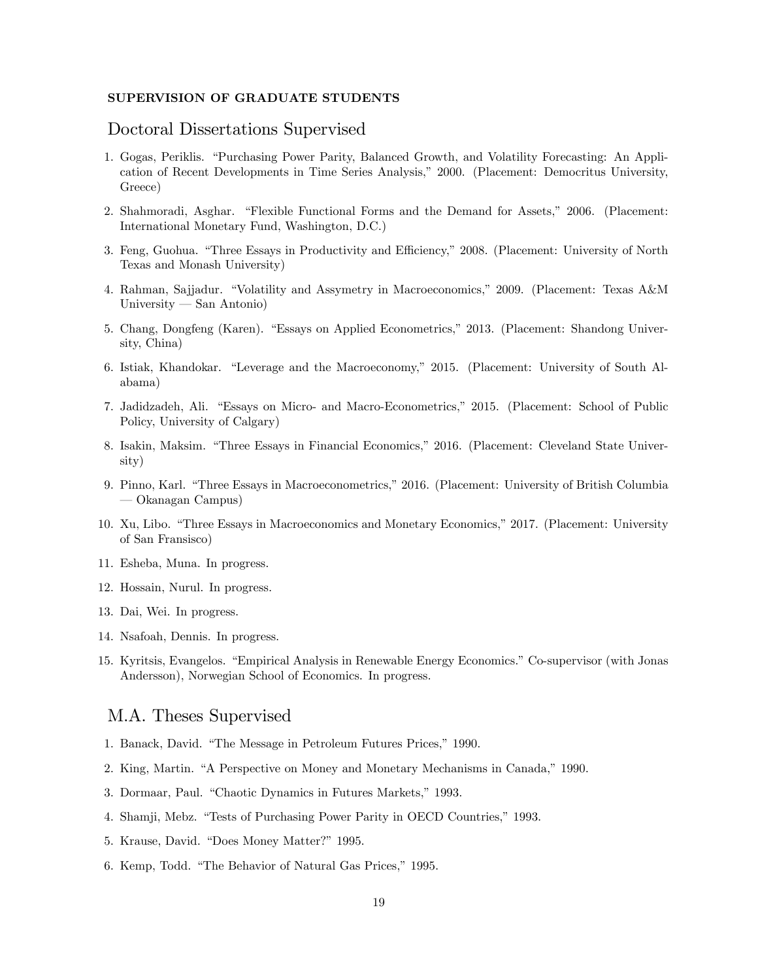#### SUPERVISION OF GRADUATE STUDENTS

### Doctoral Dissertations Supervised

- 1. Gogas, Periklis. "Purchasing Power Parity, Balanced Growth, and Volatility Forecasting: An Application of Recent Developments in Time Series Analysis," 2000. (Placement: Democritus University, Greece)
- 2. Shahmoradi, Asghar. "Flexible Functional Forms and the Demand for Assets," 2006. (Placement: International Monetary Fund, Washington, D.C.)
- 3. Feng, Guohua. "Three Essays in Productivity and Efficiency," 2008. (Placement: University of North Texas and Monash University)
- 4. Rahman, Sajjadur. "Volatility and Assymetry in Macroeconomics," 2009. (Placement: Texas A&M University – San Antonio)
- 5. Chang, Dongfeng (Karen). "Essays on Applied Econometrics," 2013. (Placement: Shandong University, China)
- 6. Istiak, Khandokar. "Leverage and the Macroeconomy," 2015. (Placement: University of South Alabama)
- 7. Jadidzadeh, Ali. "Essays on Micro- and Macro-Econometrics," 2015. (Placement: School of Public Policy, University of Calgary)
- 8. Isakin, Maksim. "Three Essays in Financial Economics," 2016. (Placement: Cleveland State University)
- 9. Pinno, Karl. "Three Essays in Macroeconometrics," 2016. (Placement: University of British Columbia ó Okanagan Campus)
- 10. Xu, Libo. "Three Essays in Macroeconomics and Monetary Economics," 2017. (Placement: University of San Fransisco)
- 11. Esheba, Muna. In progress.
- 12. Hossain, Nurul. In progress.
- 13. Dai, Wei. In progress.
- 14. Nsafoah, Dennis. In progress.
- 15. Kyritsis, Evangelos. "Empirical Analysis in Renewable Energy Economics." Co-supervisor (with Jonas Andersson), Norwegian School of Economics. In progress.

## M.A. Theses Supervised

- 1. Banack, David. "The Message in Petroleum Futures Prices," 1990.
- 2. King, Martin. "A Perspective on Money and Monetary Mechanisms in Canada," 1990.
- 3. Dormaar, Paul. "Chaotic Dynamics in Futures Markets," 1993.
- 4. Shamji, Mebz. "Tests of Purchasing Power Parity in OECD Countries," 1993.
- 5. Krause, David. "Does Money Matter?" 1995.
- 6. Kemp, Todd. "The Behavior of Natural Gas Prices," 1995.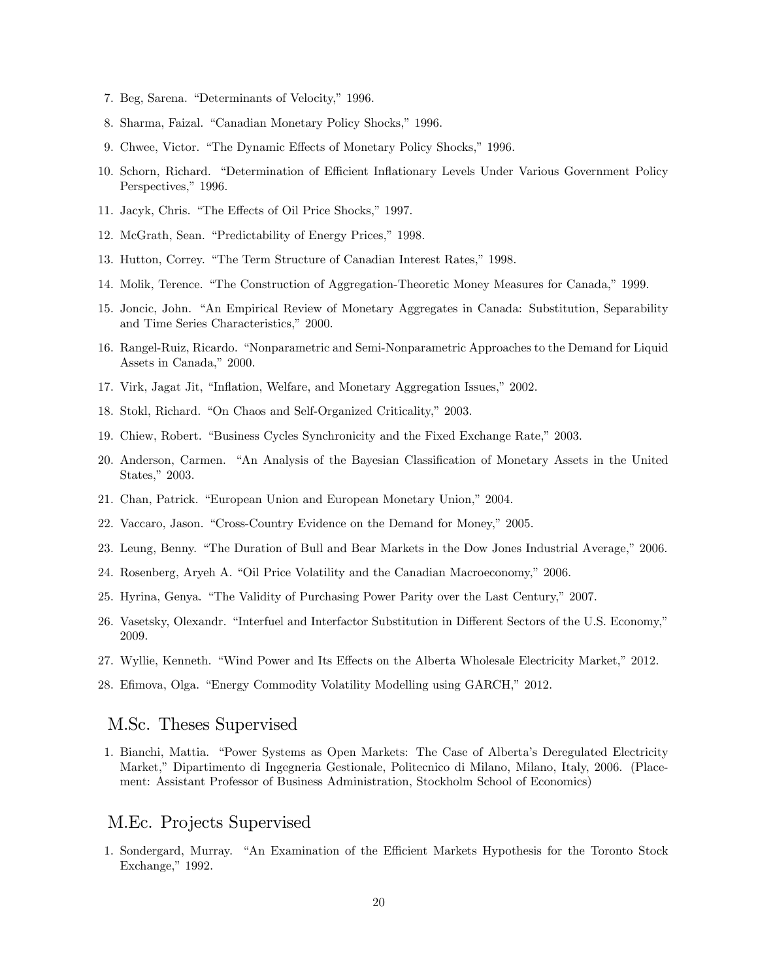- 7. Beg, Sarena. "Determinants of Velocity," 1996.
- 8. Sharma, Faizal. "Canadian Monetary Policy Shocks," 1996.
- 9. Chwee, Victor. "The Dynamic Effects of Monetary Policy Shocks," 1996.
- 10. Schorn, Richard. "Determination of Efficient Inflationary Levels Under Various Government Policy Perspectives," 1996.
- 11. Jacyk, Chris. "The Effects of Oil Price Shocks," 1997.
- 12. McGrath, Sean. "Predictability of Energy Prices," 1998.
- 13. Hutton, Correy. "The Term Structure of Canadian Interest Rates," 1998.
- 14. Molik, Terence. "The Construction of Aggregation-Theoretic Money Measures for Canada," 1999.
- 15. Joncic, John. "An Empirical Review of Monetary Aggregates in Canada: Substitution, Separability and Time Series Characteristics," 2000.
- 16. Rangel-Ruiz, Ricardo. "Nonparametric and Semi-Nonparametric Approaches to the Demand for Liquid Assets in Canada," 2000.
- 17. Virk, Jagat Jit, "Inflation, Welfare, and Monetary Aggregation Issues," 2002.
- 18. Stokl, Richard. "On Chaos and Self-Organized Criticality," 2003.
- 19. Chiew, Robert. "Business Cycles Synchronicity and the Fixed Exchange Rate," 2003.
- 20. Anderson, Carmen. "An Analysis of the Bayesian Classification of Monetary Assets in the United States," 2003.
- 21. Chan, Patrick. "European Union and European Monetary Union," 2004.
- 22. Vaccaro, Jason. "Cross-Country Evidence on the Demand for Money," 2005.
- 23. Leung, Benny. "The Duration of Bull and Bear Markets in the Dow Jones Industrial Average," 2006.
- 24. Rosenberg, Aryeh A. "Oil Price Volatility and the Canadian Macroeconomy," 2006.
- 25. Hyrina, Genya. "The Validity of Purchasing Power Parity over the Last Century," 2007.
- 26. Vasetsky, Olexandr. "Interfuel and Interfactor Substitution in Different Sectors of the U.S. Economy," 2009.
- 27. Wyllie, Kenneth. "Wind Power and Its Effects on the Alberta Wholesale Electricity Market," 2012.
- 28. Efimova, Olga. "Energy Commodity Volatility Modelling using GARCH," 2012.

## M.Sc. Theses Supervised

1. Bianchi, Mattia. "Power Systems as Open Markets: The Case of Alberta's Deregulated Electricity Market," Dipartimento di Ingegneria Gestionale, Politecnico di Milano, Milano, Italy, 2006. (Placement: Assistant Professor of Business Administration, Stockholm School of Economics)

## M.Ec. Projects Supervised

1. Sondergard, Murray. "An Examination of the Efficient Markets Hypothesis for the Toronto Stock Exchange,"  $1992$ .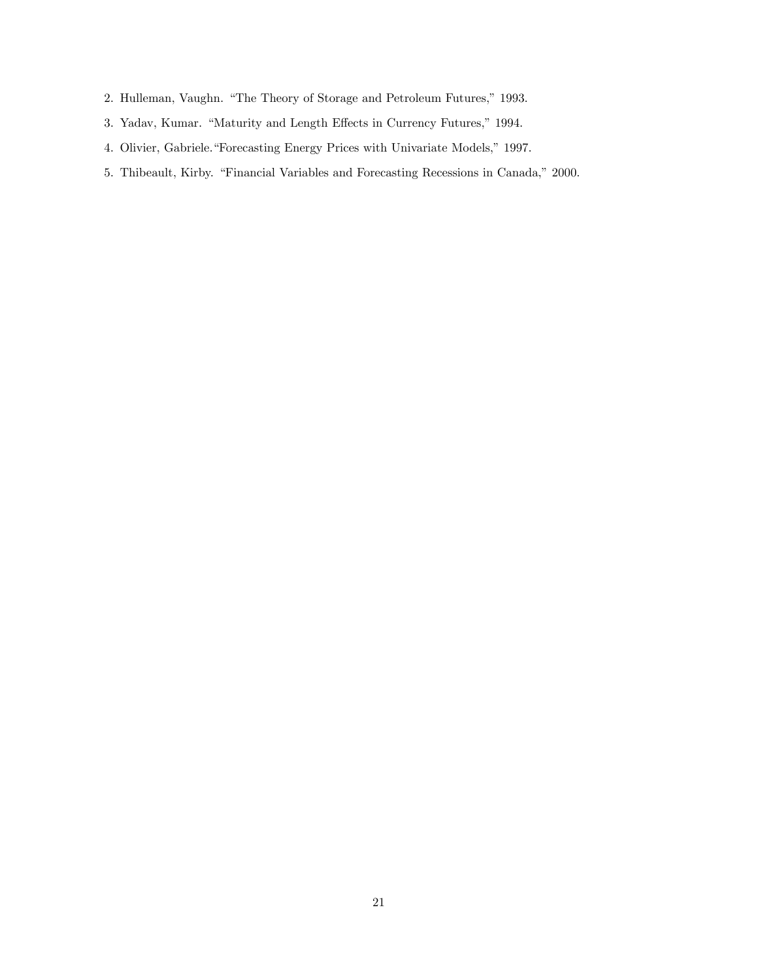- 2. Hulleman, Vaughn. "The Theory of Storage and Petroleum Futures," 1993.
- 3. Yadav, Kumar. "Maturity and Length Effects in Currency Futures," 1994.
- 4. Olivier, Gabriele."Forecasting Energy Prices with Univariate Models," 1997.
- 5. Thibeault, Kirby. "Financial Variables and Forecasting Recessions in Canada," 2000.